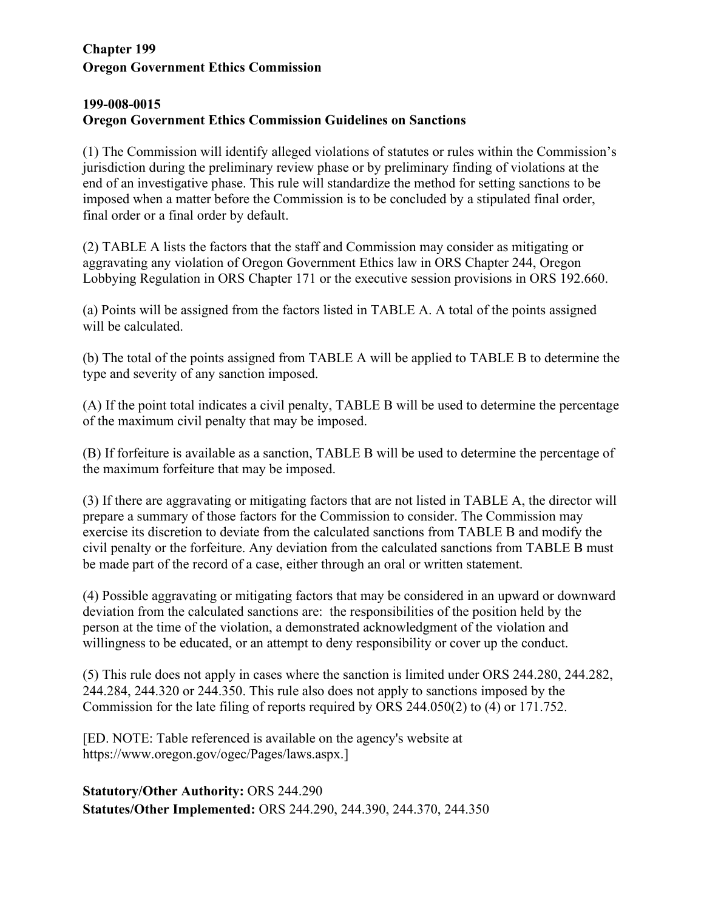## **Chapter 199 Oregon Government Ethics Commission**

## **199-008-0015 Oregon Government Ethics Commission Guidelines on Sanctions**

(1) The Commission will identify alleged violations of statutes or rules within the Commission's jurisdiction during the preliminary review phase or by preliminary finding of violations at the end of an investigative phase. This rule will standardize the method for setting sanctions to be imposed when a matter before the Commission is to be concluded by a stipulated final order, final order or a final order by default.

(2) TABLE A lists the factors that the staff and Commission may consider as mitigating or aggravating any violation of Oregon Government Ethics law in ORS Chapter 244, Oregon Lobbying Regulation in ORS Chapter 171 or the executive session provisions in ORS 192.660.

(a) Points will be assigned from the factors listed in TABLE A. A total of the points assigned will be calculated.

(b) The total of the points assigned from TABLE A will be applied to TABLE B to determine the type and severity of any sanction imposed.

(A) If the point total indicates a civil penalty, TABLE B will be used to determine the percentage of the maximum civil penalty that may be imposed.

(B) If forfeiture is available as a sanction, TABLE B will be used to determine the percentage of the maximum forfeiture that may be imposed.

(3) If there are aggravating or mitigating factors that are not listed in TABLE A, the director will prepare a summary of those factors for the Commission to consider. The Commission may exercise its discretion to deviate from the calculated sanctions from TABLE B and modify the civil penalty or the forfeiture. Any deviation from the calculated sanctions from TABLE B must be made part of the record of a case, either through an oral or written statement.

(4) Possible aggravating or mitigating factors that may be considered in an upward or downward deviation from the calculated sanctions are: the responsibilities of the position held by the person at the time of the violation, a demonstrated acknowledgment of the violation and willingness to be educated, or an attempt to deny responsibility or cover up the conduct.

(5) This rule does not apply in cases where the sanction is limited under ORS 244.280, 244.282, 244.284, 244.320 or 244.350. This rule also does not apply to sanctions imposed by the Commission for the late filing of reports required by ORS 244.050(2) to (4) or 171.752.

[ED. NOTE: Table referenced is available on the agency's website at https://www.oregon.gov/ogec/Pages/laws.aspx.]

**Statutory/Other Authority:** ORS 244.290 **Statutes/Other Implemented:** ORS 244.290, 244.390, 244.370, 244.350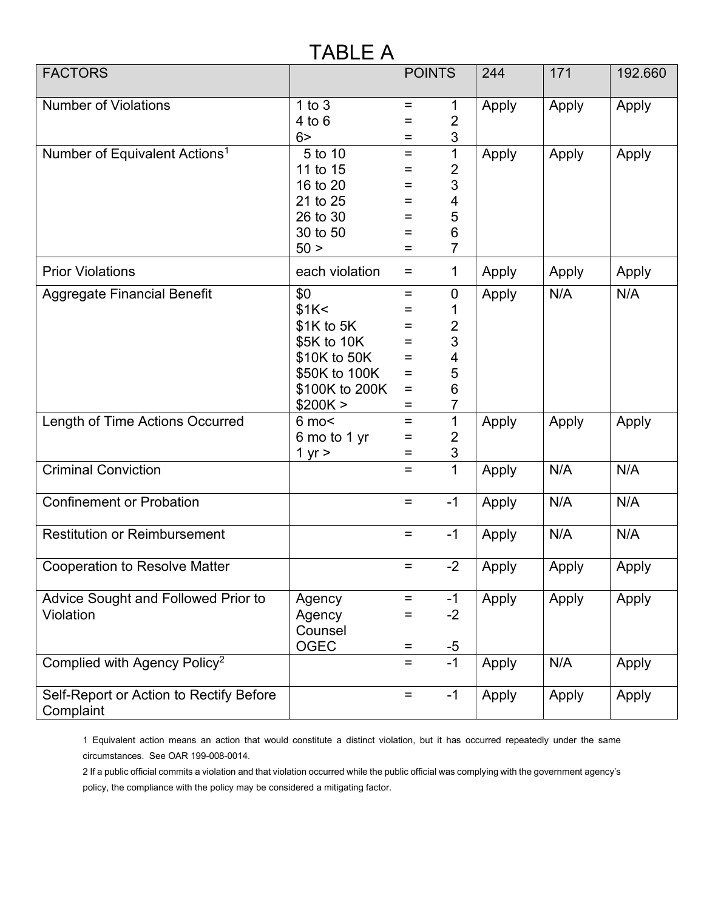## TABLE A

| <b>FACTORS</b>                                       |                                |                   | <b>POINTS</b>       | 244   | 171   | 192.660 |
|------------------------------------------------------|--------------------------------|-------------------|---------------------|-------|-------|---------|
|                                                      |                                |                   |                     |       |       |         |
| <b>Number of Violations</b>                          | $1$ to $3$                     | $=$               | 1                   | Apply | Apply | Apply   |
|                                                      | $4$ to $6$                     | Ξ                 | $\overline{2}$      |       |       |         |
|                                                      | 6 <sup>5</sup><br>5 to 10      | Ξ<br>$\equiv$     | 3<br>$\mathbf{1}$   |       |       |         |
| Number of Equivalent Actions <sup>1</sup>            | 11 to 15                       | $=$               | $\overline{2}$      | Apply | Apply | Apply   |
|                                                      | 16 to 20                       | Ξ                 | 3                   |       |       |         |
|                                                      | 21 to 25                       | $\equiv$          | 4                   |       |       |         |
|                                                      | 26 to 30                       | $\equiv$          | 5                   |       |       |         |
|                                                      | 30 to 50                       | Ξ                 | 6                   |       |       |         |
|                                                      | 50 >                           | Ξ                 | 7                   |       |       |         |
| <b>Prior Violations</b>                              | each violation                 | $=$               | 1                   | Apply | Apply | Apply   |
| <b>Aggregate Financial Benefit</b>                   | \$0                            | $\equiv$          | $\mathbf 0$         | Apply | N/A   | N/A     |
|                                                      | \$1K<                          | $\equiv$          | 1                   |       |       |         |
|                                                      | $$1K$ to $5K$                  | $\qquad \qquad =$ | $\overline{2}$      |       |       |         |
|                                                      | \$5K to 10K                    | $\qquad \qquad =$ | 3                   |       |       |         |
|                                                      | \$10K to 50K                   | Ξ                 | 4                   |       |       |         |
|                                                      | \$50K to 100K                  | $\equiv$          | 5                   |       |       |         |
|                                                      | \$100K to 200K                 | $\equiv$          | 6                   |       |       |         |
|                                                      | \$200K >                       | $\equiv$          | $\overline{7}$      |       |       |         |
| Length of Time Actions Occurred                      | $6 \text{ mo}$<br>6 mo to 1 yr | Ξ<br>Ξ            | 1<br>$\overline{2}$ | Apply | Apply | Apply   |
|                                                      | 1 yr $>$                       | Ξ                 | 3                   |       |       |         |
| <b>Criminal Conviction</b>                           |                                | Ξ                 | $\overline{1}$      | Apply | N/A   | N/A     |
|                                                      |                                |                   |                     |       |       |         |
| <b>Confinement or Probation</b>                      |                                | $=$               | $-1$                | Apply | N/A   | N/A     |
| <b>Restitution or Reimbursement</b>                  |                                | $\equiv$          | $-1$                | Apply | N/A   | N/A     |
| <b>Cooperation to Resolve Matter</b>                 |                                | Ξ                 | $-2$                | Apply | Apply | Apply   |
| Advice Sought and Followed Prior to                  | Agency                         | Ξ                 | $-1$                | Apply | Apply | Apply   |
| Violation                                            | Agency                         | =                 | $-2$                |       |       |         |
|                                                      | Counsel                        |                   |                     |       |       |         |
|                                                      | <b>OGEC</b>                    | Ξ                 | $-5$                |       |       |         |
| Complied with Agency Policy <sup>2</sup>             |                                | Ξ                 | $-1$                | Apply | N/A   | Apply   |
| Self-Report or Action to Rectify Before<br>Complaint |                                | $=$               | $-1$                | Apply | Apply | Apply   |

1 Equivalent action means an action that would constitute a distinct violation, but it has occurred repeatedly under the same circumstances. See OAR 199-008-0014.

2 If a public official commits a violation and that violation occurred while the public official was complying with the government agency's policy, the compliance with the policy may be considered a mitigating factor.